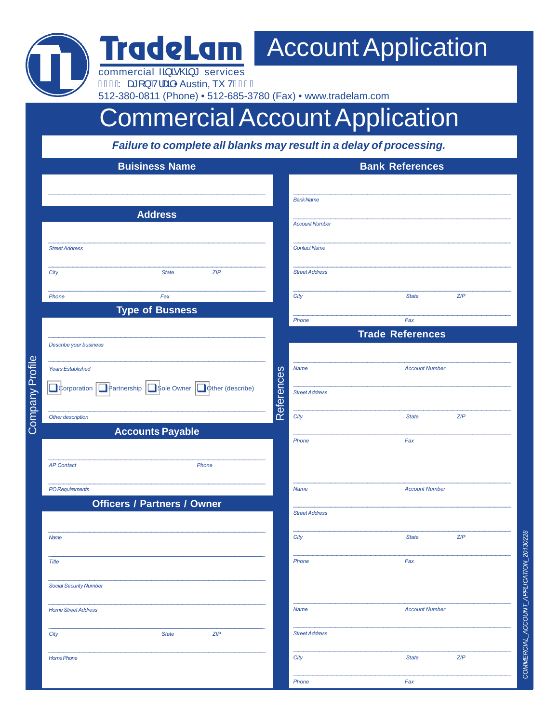|                                       | <b>TradeLam</b>                                                                                                                            |            |                        | <b>Account Application</b> |            |  |  |
|---------------------------------------|--------------------------------------------------------------------------------------------------------------------------------------------|------------|------------------------|----------------------------|------------|--|--|
|                                       | commercial $-3 \times 2$ services<br>Ì FJÁY æ*[}Á/¦æã ∙Austin, TX 7Ì Ï Í Ì<br>512-380-0811 (Phone) • 512-685-3780 (Fax) • www.tradelam.com |            |                        |                            |            |  |  |
| <b>Commercial Account Application</b> |                                                                                                                                            |            |                        |                            |            |  |  |
|                                       | Failure to complete all blanks may result in a delay of processing.                                                                        |            |                        |                            |            |  |  |
| <b>Buisiness Name</b>                 |                                                                                                                                            |            | <b>Bank References</b> |                            |            |  |  |
|                                       |                                                                                                                                            |            |                        |                            |            |  |  |
|                                       |                                                                                                                                            |            | <b>Bank Name</b>       |                            |            |  |  |
|                                       | <b>Address</b>                                                                                                                             |            | <b>Account Number</b>  |                            |            |  |  |
| <b>Street Address</b>                 |                                                                                                                                            |            | <b>Contact Name</b>    |                            |            |  |  |
|                                       |                                                                                                                                            |            |                        |                            |            |  |  |
| City                                  | ZIP<br><b>State</b>                                                                                                                        |            | <b>Street Address</b>  |                            |            |  |  |
| Phone                                 | Fax                                                                                                                                        |            | City                   | <b>State</b>               | ZIP        |  |  |
|                                       | <b>Type of Busness</b>                                                                                                                     |            |                        | Fax                        |            |  |  |
|                                       |                                                                                                                                            |            | Phone                  | <b>Trade References</b>    |            |  |  |
| <b>Describe your business</b>         |                                                                                                                                            |            |                        |                            |            |  |  |
| <b>Years Established</b>              |                                                                                                                                            |            | <b>Name</b>            | <b>Account Number</b>      |            |  |  |
|                                       | Corporation   Partnership   \$ole Owner   Other (describe)                                                                                 |            |                        |                            |            |  |  |
|                                       |                                                                                                                                            | References | <b>Street Address</b>  |                            |            |  |  |
| Other description                     |                                                                                                                                            |            | City                   | <b>State</b>               | <b>ZIP</b> |  |  |
|                                       | <b>Accounts Payable</b>                                                                                                                    |            | Phone                  | Fax                        |            |  |  |
|                                       |                                                                                                                                            |            |                        |                            |            |  |  |
| <b>AP Contact</b>                     | Phone                                                                                                                                      |            |                        |                            |            |  |  |
| PO Requirements                       |                                                                                                                                            |            | <b>Name</b>            | <b>Account Number</b>      |            |  |  |
|                                       | <b>Officers / Partners / Owner</b>                                                                                                         |            |                        |                            |            |  |  |
|                                       |                                                                                                                                            |            | <b>Street Address</b>  |                            |            |  |  |
| Name                                  |                                                                                                                                            |            | City                   | <b>State</b>               | ZIP        |  |  |
| Title                                 |                                                                                                                                            |            | Phone                  | Fax                        |            |  |  |
|                                       |                                                                                                                                            |            |                        |                            |            |  |  |
| <b>Social Security Number</b>         |                                                                                                                                            |            |                        |                            |            |  |  |
| <b>Home Street Address</b>            |                                                                                                                                            |            | <b>Name</b>            | <b>Account Number</b>      |            |  |  |
| City                                  | ZIP<br><b>State</b>                                                                                                                        |            | <b>Street Address</b>  |                            |            |  |  |
|                                       |                                                                                                                                            |            |                        |                            |            |  |  |
| <b>Home Phone</b>                     |                                                                                                                                            |            | City                   | <b>State</b>               | ZIP        |  |  |
|                                       |                                                                                                                                            |            |                        |                            |            |  |  |

COMMERCIAL\_ACCOUNT\_APPLICATION\_20130228 *COMMERCIAL\_ACCOUNT\_APPLICATION\_20130228*